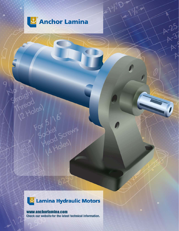

9

thread

40-

 $25$ 

# Lamina Hydraulic Motors

625

For 5/16"

### www.anchorlamina.com

Check our website for the latest technical information.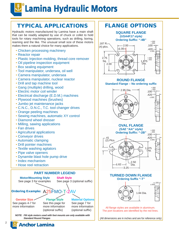# **Lamina Hydraulic Motors**

# TYPICAL APPLICATIONS

Hydraulic motors manufactured by Lamina have a main shaft that can be readily adapted by use of chuck or collet to hold tools for rotary machining operations, such as drilling, boring, reaming and the like. The unusual small size of these motors makes them a natural choice for many applications.

- Chicken processing machinery
- Reactor repair
- Plastic Injection molding, thread core remover
- Oil pipeline inspection equipment
- Box sealing equipment
- Tool manipulator, undersea, oil well
- Camera manipulator, undersea
- Camera manipulator, nuclear reactor
- Drill and tap machine tool
- Gang (multiple) drilling, wood
- Electric motor coil winder
- Electrical discharge (E.D.M.) machines
- Plywood machines (brushes)
- Jumbo jet maintenance jacks
- C.N.C., D.N.C., T.C. tool changer drives
- Orange peeling machines
- Sewing machines, automatic XY control
- Diamond wheel dresser
- Milling, sawing applications
- Fan drives
- Agricultural applications
- Conveyor drives
- Automatic clamping
- Drill pointer machines
- Textile washing agitators
- Pipe valve openers
- Dynamite blast hole pump drive
- Index mechanism
- Hose reel retraction



 *Standard Round Flanges*



All flange styles are available in aluminum. The port locations are identified by the red lines.

(All dimensions are in inches and are for reference only)

2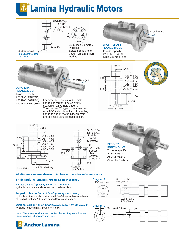# **E** Lamina Hydraulic Motors



11/32 inch Diameter,

(4 Holes) Spaced on a 5 hole **Radius** 



To order specify: A25F, A37F, A50F, A62F, A100F, A125F



# **E** Anchor Lamina

**these options will require lead time.**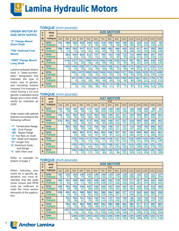### **TORQUE** (Inch-pounds)

### **ORDER MOTOR BY SIZE WITH SUFFIX:**

#### **"F" Flange Mount Short Shaft**

**"FM" Pedestal Foot Mount**

#### **"FMO" Flange Mount Long Shaft**

Lamina Hydraulic Motors have a "letter-numberletter" designation that indicates the type of motor, size of gerotor, and mounting method required. For example: a motor having a 1/2 inch flange and a short shaft, would be indicated as A50F.

Order motors with optional features according to the following suffixes:

"-T" Turned down flange "**-2B**" Oval Flange "**-4B**" Square Flange "-2" Two flats on shaft "**-DT**" Shaft end tapped "**-K**" Longer Key "**A**" Aluminum body and flange "**V**" with Viton seal

Refer to example on bottom of page 2.

When selecting your motor for a specific application, you must remember that the peak motor torque and RPM must be sufficient to meet the most severe demands of the application.

**L** Anchor Lamina

| G                       | <b>RPM</b>                  |          |           |            |            |            |            |            | <b>A25 MOTOR</b> |            |            |            |             |             |             |             |
|-------------------------|-----------------------------|----------|-----------|------------|------------|------------|------------|------------|------------------|------------|------------|------------|-------------|-------------|-------------|-------------|
| P                       | and                         |          |           |            |            |            |            |            | PSI              |            |            |            |             |             |             |             |
| M                       | <b>TORQUE</b>               | 100      | 200       | 300        | 400        | 500        | 600        | 700        | 800              | 900        | 1000       | 1100       | 1200        | 1300        | 1400        | 1500        |
|                         | <b>RPM</b><br><b>TORQUE</b> | 314<br>6 | 298<br>17 | 282<br>27  | 265<br>37  | 249<br>47  | 233<br>58  | 216<br>68  | 200<br>78        | 184<br>88  | 168<br>98  | 151<br>109 | 135<br>119  | 119<br>129  | 103<br>139  | 86<br>149   |
| $\overline{2}$          | <b>RPM</b><br><b>TORQUE</b> | 596<br>3 | 580<br>14 | 563<br>24  | 547<br>34  | 531<br>44  | 515<br>54  | 498<br>65  | 482<br>75        | 466<br>85  | 450<br>95  | 433<br>106 | 417<br>116  | 401<br>126  | 385<br>136  | 368<br>146  |
| 3                       | <b>RPM</b><br><b>TORQUE</b> |          | 862<br>11 | 845<br>21  | 829<br>31  | 813<br>41  | 797<br>51  | 780<br>62  | 764<br>72        | 748<br>82  | 732<br>92  | 715<br>102 | 699<br>113  | 683<br>123  | 667<br>133  | 650<br>143  |
| $\overline{\mathbf{4}}$ | <b>RPM</b><br><b>TORQUE</b> |          | 1144<br>8 | 1127<br>18 | 1111<br>28 | 1095<br>38 | 1079<br>48 | 1062<br>59 | 1046<br>69       | 1030<br>79 | 1014<br>89 | 997<br>99  | 981<br>110  | 965<br>120  | 948<br>130  | 932<br>140  |
| 5                       | <b>RPM</b><br><b>TORQUE</b> |          | 1426      | 1409<br>15 | 1393<br>25 | 1377<br>35 | 1361<br>45 | 1344<br>56 | 1328<br>66       | 1312<br>76 | 1295<br>86 | 1279<br>96 | 1263<br>107 | 1247<br>117 | 1230<br>127 | 1214<br>137 |
| 6                       | <b>RPM</b><br><b>TORQUE</b> |          |           | 1691<br>12 | 1675<br>22 | 1659<br>32 | 1642<br>42 | 1626<br>52 | 1610<br>63       | 1594<br>73 | 1577<br>83 | 1561<br>93 | 1545<br>104 | 1529<br>114 | 1512<br>124 | 1496<br>134 |
|                         | <b>RPM</b><br><b>TORQUE</b> |          |           | 1973<br>9  | 1957<br>19 | 1941<br>29 | 1924<br>39 | 1908<br>49 | 1892<br>60       | 1876<br>70 | 1859<br>80 | 1843<br>90 | 1827<br>100 | 1811<br>111 | 1794<br>121 | 1778<br>131 |
| 8                       | <b>RPM</b><br><b>TORQUE</b> |          |           | 2255       | 2239<br>16 | 2223<br>26 | 2206<br>36 | 2190<br>46 | 2174<br>57       | 2158<br>67 | 2141<br>77 | 2125<br>87 | 2109<br>97  | 2093<br>108 | 2076<br>118 | 2060<br>128 |

## gerotor, a standard round **TORQUE** (Inch-pounds)

| G | <b>RPM</b>                  |           |           |            |            |            |            |            | <b>A37 MOTOR</b> |             |             |             |             |             |             |             |
|---|-----------------------------|-----------|-----------|------------|------------|------------|------------|------------|------------------|-------------|-------------|-------------|-------------|-------------|-------------|-------------|
| P | and                         |           |           |            |            |            |            |            | PSI              |             |             |             |             |             |             |             |
| M | <b>TORQUE</b>               | 100       | 200       | 300        | 400        | 500        | 600        | 700        | 800              | 900         | 1000        | 1100        | 1200        | 1300        | 1400        | 1500        |
|   | <b>RPM</b><br><b>TORQUE</b> | 210<br>14 | 201<br>29 | 192<br>44  | 183<br>59  | 173<br>74  | 164<br>88  | 155<br>103 | 146<br>118       | 136<br>133  | 127<br>148  | 118<br>163  | 109<br>178  | 100<br>192  | 90<br>207   | 81<br>222   |
|   | <b>RPM</b><br><b>TORQUE</b> | 410<br>9  | 401<br>24 | 392<br>39  | 383<br>53  | 373<br>68  | 364<br>83  | 355<br>98  | 346<br>113       | 337<br>128  | 327<br>143  | 318<br>157  | 309<br>172  | 300<br>187  | 290<br>202  | 281<br>217  |
| 3 | <b>RPM</b><br><b>TORQUE</b> | 610<br>4  | 601<br>18 | 592<br>33  | 583<br>48  | 573<br>63  | 564<br>78  | 555<br>93  | 546<br>108       | 537<br>122  | 527<br>137  | 518<br>152  | 509<br>167  | 500<br>182  | 490<br>197  | 481<br>212  |
| 4 | <b>RPM</b><br><b>TORQUE</b> |           | 801<br>13 | 792<br>28  | 783<br>43  | 773<br>58  | 764<br>73  | 755<br>87  | 746<br>102       | 737<br>117  | 727<br>132  | 718<br>147  | 709<br>162  | 700<br>177  | 690<br>192  | 681<br>206  |
| 5 | <b>RPM</b><br><b>TORQUE</b> |           |           | 992<br>23  | 983<br>38  | 974<br>52  | 964<br>67  | 955<br>82  | 946<br>97        | 937<br>112  | 927<br>127  | 918<br>142  | 909<br>157  | 900<br>171  | 891<br>186  | 881<br>201  |
| 6 | <b>RPM</b><br><b>TORQUE</b> |           |           | 1192<br>18 | 1183<br>32 | 1174<br>47 | 1164<br>62 | 1155<br>77 | 1146<br>92       | 1137<br>107 | 1127<br>122 | 1118<br>136 | 1109<br>151 | 1100<br>166 | 1091<br>181 | 1081<br>196 |
| 7 | <b>RPM</b><br><b>TORQUE</b> |           |           | 1392<br>12 | 1383<br>27 | 1374<br>42 | 1364<br>57 | 1355<br>72 | 1346<br>87       | 1337<br>101 | 1327<br>116 | 1318<br>131 | 1309<br>146 | 1300<br>161 | 1291<br>176 | 1281<br>191 |
| 8 | <b>RPM</b><br><b>TORQUE</b> |           |           | 1592       | 1583<br>22 | 1574<br>37 | 1564<br>52 | 1555<br>66 | 1546<br>81       | 1537<br>96  | 1528<br>111 | 1518<br>126 | 1509<br>141 | 1500<br>156 | 1491<br>170 | 1481<br>185 |

## **TORQUE** (Inch-pounds)

| G              | <b>RPM</b>                  |           |           |            |            |            |            |             | <b>A50 MOTOR</b> |             |             |             |             |             |             |             |
|----------------|-----------------------------|-----------|-----------|------------|------------|------------|------------|-------------|------------------|-------------|-------------|-------------|-------------|-------------|-------------|-------------|
| Р              | and                         |           |           |            |            |            |            |             | <b>PSI</b>       |             |             |             |             |             |             |             |
| M              | <b>TORQUE</b>               | 100       | 200       | 300        | 400        | 500        | 600        | 700         | 800              | 900         | 1000        | 1100        | 1200        | 1300        | 1400        | 1500        |
| $\overline{1}$ | <b>RPM</b><br><b>TORQUE</b> | 156<br>18 | 153<br>37 | 150<br>56  | 146<br>75  | 143<br>94  | 140<br>113 | 136<br>132  | 133<br>151       | 129<br>170  | 126<br>189  | 122<br>208  | 118<br>227  | 115<br>246  | 111<br>265  | 107<br>284  |
| $\overline{2}$ | <b>RPM</b><br><b>TORQUE</b> | 306<br>15 | 302<br>34 | 299<br>52  | 296<br>71  | 292<br>90  | 289<br>109 | 285<br>128  | 282<br>147       | 278<br>166  | 275<br>185  | 271<br>205  | 267<br>224  | 264<br>243  | 260<br>262  | 256<br>281  |
| 3              | <b>RPM</b><br><b>TORQUE</b> | 456<br>10 | 453<br>29 | 450<br>48  | 446<br>67  | 443<br>86  | 439<br>105 | 436<br>124  | 432<br>143       | 429<br>162  | 425<br>181  | 421<br>200  | 418<br>220  | 414<br>239  | 410<br>258  | 406<br>277  |
| $\overline{4}$ | <b>RPM</b><br><b>TORQUE</b> | 608<br>5  | 605<br>24 | 601<br>43  | 598<br>62  | 595<br>81  | 591<br>100 | 588<br>119  | 584<br>138       | 580<br>157  | 577<br>177  | 573<br>196  | 569<br>215  | 566<br>234  | 562<br>253  | 558<br>272  |
| 5              | <b>RPM</b><br><b>TORQUE</b> |           | 752<br>19 | 750<br>38  | 747<br>57  | 745<br>76  | 743<br>95  | 741<br>114  | 737<br>133       | 733<br>152  | 730<br>171  | 726<br>190  | 722<br>209  | 718<br>228  | 714<br>247  | 710<br>267  |
| 6              | <b>RPM</b><br><b>TORQUE</b> |           | 902<br>12 | 901<br>31  | 900<br>50  | 898<br>69  | 895<br>88  | 892<br>107  | 890<br>127       | 888<br>146  | 884<br>165  | 880<br>184  | 877<br>203  | 873<br>222  | 869<br>242  | 865<br>261  |
| $\overline{7}$ | <b>RPM</b><br><b>TORQUE</b> |           | 1057<br>5 | 1053<br>24 | 1050<br>43 | 1048<br>62 | 1047<br>81 | 1046<br>100 | 1044<br>120      | 1042<br>139 | 1040<br>158 | 1036<br>177 | 1032<br>196 | 1028<br>215 | 1024<br>235 | 1020<br>254 |
| 8              | <b>RPM</b><br><b>TORQUE</b> |           |           | 1206<br>16 | 1205<br>35 | 1204<br>54 | 1203<br>74 | 1202<br>93  | 1200<br>112      | 1198<br>131 | 1196<br>150 | 1193<br>169 | 1189<br>188 | 1186<br>208 | 1182<br>227 | 1178<br>246 |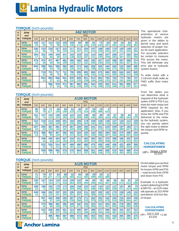**Lamina Hydraulic Motors** 

### **TORQUE** (Inch-pounds)

| G                       | <b>RPM</b>                  |           |           |           |           |            |            |            | <b>A62 MOTOR</b> |            |            |            |            |            |            |            |
|-------------------------|-----------------------------|-----------|-----------|-----------|-----------|------------|------------|------------|------------------|------------|------------|------------|------------|------------|------------|------------|
| P                       | and                         |           |           |           |           |            |            |            | PSI              |            |            |            |            |            |            |            |
| M                       | TORQUE                      | 100       | 200       | 300       | 400       | 500        | 600        | 700        | 800              | 900        | 1000       | 1100       | 1200       | 1300       | 1400       | 1500       |
|                         | <b>RPM</b><br><b>TORQUE</b> | 119<br>26 | 117<br>50 | 114<br>74 | 110<br>98 | 105<br>122 | 100<br>146 | 94<br>171  | 88<br>195        | 81<br>219  | 73<br>243  | 64<br>267  | 54<br>291  | 44<br>315  | 34<br>339  | 22<br>363  |
| $\overline{\mathbf{z}}$ | <b>RPM</b><br><b>TORQUE</b> | 236<br>22 | 233<br>46 | 230<br>70 | 227<br>95 | 222<br>119 | 217<br>143 | 211<br>167 | 204<br>191       | 197<br>215 | 188<br>239 | 180<br>263 | 170<br>287 | 160<br>311 | 149<br>335 | 137<br>360 |
| $\overline{\mathbf{3}}$ | <b>RPM</b><br><b>TORQUE</b> | 355<br>17 | 352<br>42 | 349<br>66 | 345<br>90 | 341<br>114 | 335<br>138 | 329<br>163 | 322<br>187       | 315<br>211 | 306<br>235 | 297<br>259 | 288<br>283 | 277<br>307 | 266<br>332 | 254<br>356 |
| 4                       | <b>RPM</b><br><b>TORQUE</b> | 476<br>12 | 474<br>36 | 471<br>60 | 467<br>84 | 462<br>109 | 456<br>133 | 450<br>157 | 443<br>181       | 435<br>206 | 427<br>230 | 418<br>254 | 408<br>278 | 397<br>302 | 386<br>327 | 374<br>351 |
| 5                       | <b>RPM</b><br><b>TORQUE</b> | 600<br>5  | 598<br>30 | 594<br>54 | 590<br>78 | 585<br>102 | 580<br>126 | 573<br>151 | 566<br>175       | 558<br>199 | 550<br>224 | 540<br>248 | 530<br>272 | 519<br>296 | 508<br>321 | 495<br>345 |
| 6                       | <b>RPM</b><br><b>TORQUE</b> |           | 724<br>22 | 721<br>46 | 717<br>70 | 712<br>95  | 706<br>119 | 699<br>143 | 692<br>168       | 684<br>192 | 675<br>216 | 666<br>241 | 655<br>265 | 644<br>290 | 632<br>314 | 620<br>338 |
| $\overline{7}$          | <b>RPM</b><br><b>TORQUE</b> |           | 854<br>13 | 850<br>37 | 846<br>62 | 841<br>86  | 835<br>110 | 828<br>135 | 821<br>159       | 813<br>184 | 804<br>208 | 794<br>233 | 783<br>257 | 772<br>281 | 760<br>306 | 747<br>330 |
| 8                       | <b>RPM</b><br><b>TORQUE</b> |           |           | 982<br>27 | 978<br>52 | 973<br>76  | 967<br>101 | 960<br>125 | 952<br>150       | 944<br>174 | 935<br>199 | 925<br>223 | 914<br>248 | 902<br>272 | 890<br>297 | 877<br>321 |

**TORQUE** (Inch-pounds)

| G                       | <b>RPM</b>                  | <b>A100 MOTOR</b> |           |            |            |            |            |            |            |            |            |            |            |            |            |            |
|-------------------------|-----------------------------|-------------------|-----------|------------|------------|------------|------------|------------|------------|------------|------------|------------|------------|------------|------------|------------|
| P                       | and                         |                   |           |            |            |            |            |            | PSI        |            |            |            |            |            |            |            |
| M                       | <b>TORQUE</b>               | 100               | 200       | 300        | 400        | 500        | 600        | 700        | 800        | 900        | 1000       | 1100       | 1200       | 1300       | 1400       | 1500       |
|                         | <b>RPM</b><br><b>TORQUE</b> | 80<br>38          | 76<br>78  | 71<br>117  | 66<br>156  | 59<br>195  | 52<br>233  | 45<br>272  | 37<br>310  | 28<br>348  | 19<br>386  | 9<br>423   |            |            |            |            |
| $\overline{\mathbf{z}}$ | <b>RPM</b><br><b>TORQUE</b> | 151<br>35         | 147<br>74 | 142<br>114 | 136<br>153 | 129<br>192 | 122<br>231 | 115<br>269 | 106<br>308 | 98<br>346  | 88<br>384  | 78<br>422  | 67<br>459  | 56<br>496  | 44<br>534  | 31<br>570  |
| $\overline{\mathbf{3}}$ | <b>RPM</b><br><b>TORQUE</b> | 223<br>30         | 219<br>70 | 214<br>109 | 208<br>148 | 201<br>187 | 194<br>226 | 186<br>265 | 178<br>304 | 168<br>342 | 159<br>380 | 148<br>418 | 137<br>456 | 126<br>494 | 113<br>531 | 100<br>568 |
| 4                       | <b>RPM</b><br><b>TORQUE</b> | 297<br>23         | 293<br>63 | 287<br>103 | 281<br>142 | 275<br>181 | 267<br>220 | 259<br>259 | 250<br>298 | 241<br>337 | 231<br>375 | 220<br>413 | 209<br>451 | 197<br>489 | 185<br>527 | 171<br>564 |
| 5                       | <b>RPM</b><br><b>TORQUE</b> | 373<br>15         | 368<br>55 | 363<br>94  | 357<br>134 | 350<br>173 | 342<br>213 | 334<br>252 | 325<br>291 | 316<br>330 | 305<br>368 | 294<br>407 | 283<br>445 | 270<br>483 | 258<br>521 | 244<br>559 |
| 6                       | <b>RPM</b><br><b>TORQUE</b> |                   | 446<br>44 | 440<br>84  | 434<br>124 | 427<br>163 | 419<br>203 | 411<br>242 | 402<br>282 | 392<br>321 | 381<br>360 | 370<br>398 | 358<br>437 | 346<br>476 | 332<br>514 | 319<br>552 |
| $\overline{7}$          | <b>RPM</b><br><b>TORQUE</b> |                   | 522<br>32 | 520<br>72  | 514<br>112 | 507<br>151 | 499<br>191 | 490<br>231 | 480<br>270 | 470<br>310 | 459<br>349 | 448<br>388 | 436<br>427 | 423<br>466 | 409<br>504 | 395<br>543 |
| 8                       | <b>RPM</b><br><b>TORQUE</b> |                   | 595       | 590<br>57  | 582<br>97  | 576<br>137 | 570<br>177 | 564<br>217 | 558<br>257 | 551<br>296 | 540<br>336 | 528<br>375 | 515<br>415 | 502<br>454 | 488<br>493 | 474<br>532 |

The operational characteristics of various hydraulic motors are given in the tables to permit easy and quick selection of proper motor for each application. For accurate selection be certain to measure PSI across the motor. This will eliminate any error due to hydraulic system losses.

To order motor with a 2-1/6 inch shaft, order as FMO suffix (foot motor only).

From the tables you can determine what is required of the hydraulic system (GPM & PSI) if you know the motor torque and RPM required by the application. Also, if you know the GPM and PSI delivered to the motor by the hydraulic system, you can quickly select the right motor to deliver the torque and RPM required.

#### **CALCULATING HORSEPOWER**

HP= Torque x RPM 63,025

**TORQUE** (Inch-pounds)

|                         |                             |           |           | ------     |            |            |            |                   |            |            |            |            |            |            |            |            |
|-------------------------|-----------------------------|-----------|-----------|------------|------------|------------|------------|-------------------|------------|------------|------------|------------|------------|------------|------------|------------|
| G                       | <b>RPM</b>                  |           |           |            |            |            |            | <b>A125 MOTOR</b> |            |            |            |            |            |            |            |            |
| P                       | and                         |           |           |            |            |            |            |                   | PSI        |            |            |            |            |            |            |            |
| M                       | TORQUE                      | 100       | 200       | 300        | 400        | 500        | 600        | 700               | 800        | 900        | 1000       | 1100       | 1200       | 1300       | 1400       | 1500       |
| $\overline{\mathbf{1}}$ | <b>RPM</b><br><b>TORQUE</b> | 71<br>32  | 70<br>79  | 67<br>127  | 63<br>173  | 58<br>220  | 52<br>265  | 45<br>311         | 38<br>355  | 29<br>399  | 20<br>443  | 11<br>486  |            |            |            |            |
| $\overline{2}$          | <b>RPM</b><br><b>TORQUE</b> | 130<br>29 | 127<br>77 | 124<br>124 | 119<br>171 | 114<br>218 | 108<br>264 | 102<br>309        | 94<br>355  | 86<br>399  | 76<br>443  | 66<br>487  | 56<br>530  | 44<br>572  | 32<br>614  | 19<br>656  |
| 3                       | <b>RPM</b><br><b>TORQUE</b> | 188<br>23 | 186<br>71 | 182<br>119 | 178<br>166 | 172<br>213 | 166<br>259 | 159<br>305        | 152<br>351 | 143<br>396 | 134<br>440 | 123<br>485 | 112<br>528 | 101<br>571 | 88<br>614  | 75<br>656  |
| 4                       | <b>RPM</b><br><b>TORQUE</b> | 248<br>14 | 246<br>62 | 242<br>110 | 237<br>157 | 232<br>204 | 226<br>251 | 219<br>297        | 211<br>343 | 202<br>389 | 192<br>434 | 182<br>479 | 170<br>523 | 158<br>567 | 145<br>610 | 132<br>653 |
| 5                       | <b>RPM</b><br><b>TORQUE</b> |           | 307<br>49 | 303<br>97  | 299<br>145 | 293<br>192 | 287<br>239 | 279<br>286        | 271<br>333 | 262<br>379 | 252<br>425 | 242<br>470 | 230<br>515 | 218<br>560 | 204<br>604 | 190<br>647 |
| 6                       | <b>RPM</b><br><b>TORQUE</b> |           | 370<br>32 | 366<br>80  | 362<br>128 | 356<br>176 | 349<br>224 | 342<br>271        | 333<br>318 | 324<br>365 | 314<br>411 | 303<br>457 | 291<br>503 | 278<br>548 | 265<br>593 | 250<br>638 |
| $\overline{7}$          | <b>RPM</b><br><b>TORQUE</b> |           | 432<br>10 | 428<br>59  | 426<br>107 | 421<br>155 | 414<br>203 | 406<br>251        | 397<br>299 | 388<br>346 | 377<br>394 | 366<br>440 | 354<br>487 | 341<br>533 | 327<br>579 | 312<br>624 |
| 8                       | <b>RPM</b><br><b>TORQUE</b> |           |           | 495<br>33  | 492<br>81  | 487<br>130 | 480<br>179 | 472<br>227        | 463<br>276 | 453<br>324 | 443<br>372 | 431<br>419 | 418<br>467 | 405<br>514 | 390<br>560 | 375<br>607 |



Example: In a hydraulic system delivering 6 GPM at 800 PSI – an A125 motor will operate at 333 RPM and deliver 318 inch-lbs. of torque.

**CALCULATING HORSEPOWER**  $HP = \frac{318 \times 333}{2225} = 1.68$ 63,025

# **L** Anchor Lamina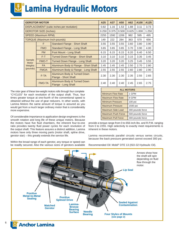# **E** Lamina Hydraulic Motors

|                        | <b>GEROTOR MOTOR</b>         |                                                     | A25   | A37   | A50   | A62   | A100  | A125  |
|------------------------|------------------------------|-----------------------------------------------------|-------|-------|-------|-------|-------|-------|
|                        |                              | DISPLACEMENT (cubic inches per revolution)          | 0.82  | 1.16  | 1.53  | 1.88  | 3.11  | 3.73  |
|                        | <b>GEROTOR SIZE (Inches)</b> |                                                     | 0.250 | 0.375 | 0.500 | 0.625 | 1.000 | 1.250 |
|                        | SPEED (Maximum RPM)          |                                                     | 2255  | 1592  | 1206  | 982   | 595   | 495   |
|                        |                              | <b>TORQUE (Maximum Inch-pounds)</b>                 | 149   | 222   | 284   | 363   | 570   | 656   |
|                        | F                            | <b>Standard Flange - Short Shaft</b>                | 3.55  | 3.55  | 3.55  | 3.60  | 3.80  | 3.90  |
|                        | <b>FMO</b>                   | Standard Flange - Long Shaft                        | 3.65  | 3.65  | 3.65  | 3.70  | 3.90  | 4.00  |
|                        | FM                           | Foot Mount - Long Shaft                             | 6.15  | 6.15  | 6.15  | 6.20  | 6.40  | 6.50  |
|                        | $F-T$                        | <b>Turned Down Flange - Short Shaft</b>             | 3.10  | 3.10  | 3.10  | 3.15  | 3.35  | 3.45  |
| Sample<br><b>Motor</b> | <b>FMO-T</b>                 | Turned Down Flange - Long Shaft                     | 3.20  | 3.20  | 3.20  | 3.25  | 3.45  | 3.55  |
| <b>Weights</b>         | <b>FA</b>                    | Aluminum Body & Flange - Short Shaft                | 2.45  | 2.45  | 2.45  | 2.50  | 2.70  | 2.80  |
| (pounds)               | <b>FMOA</b>                  | Aluminum Body & Flange - Long Shaft                 | 2.55  | 2.55  | 2.55  | 2.60  | 2.80  | 2.90  |
|                        | F-TA                         | Aluminum Body & Turned Down<br>Flange - Short Shaft | 2.30  | 2.30  | 2.30  | 2.35  | 2.55  | 2.65  |
|                        | <b>FMO-TA</b>                | Aluminum Body & Turned Down<br>Flange - Long Shaft  | 2.40  | 2.40  | 2.40  | 2.45  | 2.65  | 2.75  |

The rotor gear of these low-weight motors rolls through four complete "CYCLES" for each revolution of the output shaft. Thus, four times greater torque at one-fourth of the conventional speed is obtained without the use of gear reducers. In other words, with Lamina Motors the same amount of torque is assured as you would get from a much larger ordinary motor that is considerably more expensive.

Of considerable importance to application design engineers is the smooth rotation and long life of these unique motors. Because the motors have five fluid chambers, the inherent four-to-one ratio provides twenty fluid power cycles for each revolution of the output shaft. This feature assures a distinct addition, Lamina motors have only three moving parts (motor shaft, spline drive, gerotor star) – this greatly extends the service life.

Within the broad range of each gerotor, any torque or speed can be readily secured. Also the various sizes of gerotors available

| <b>ALL MOTORS</b>         |                  |
|---------------------------|------------------|
| <b>Minimum Flow Rate</b>  | 1 GPM            |
| <b>Maximum Flow Rate</b>  | 8 GPM            |
| <b>Minimum Pressure</b>   | 100 psi          |
| <b>Maximum Pressure</b>   | 1500 psi         |
| Maximum Side Load         | 300 pounds force |
| <b>Maximum Push Force</b> | 500 pounds force |
| <b>Maximum Pull Force</b> | 300 pounds force |

provide a torque range from 0 to 656 inch-lbs. and R.P.M. ranging from 0 to 2255. High selectivity to exactly meet requirements is inherent in these motors.

Lamina recommends parallel circuits versus series circuits, because the back pressure generated cannot exceed 300 psi.

Recommended Oil: Mobil® DTE 13 (ISO-32 Hydraulic Oil).



6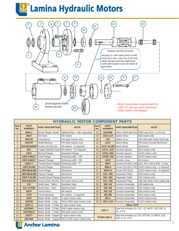# **Lamina Hydraulic Motors**



|                    | <b>HYDRAULIC MOTOR COMPONENT PARTS</b> |                                            |                                                   |                                                                       |                              |                         |                                                       |  |  |  |  |  |
|--------------------|----------------------------------------|--------------------------------------------|---------------------------------------------------|-----------------------------------------------------------------------|------------------------------|-------------------------|-------------------------------------------------------|--|--|--|--|--|
| <b>Item</b><br>No. | <b>PART</b><br><b>NUMBER</b>           | <b>PART DESCRIPTION</b>                    | <b>NOTE</b>                                       | <b>Item</b><br>No.                                                    | <b>PART</b><br><b>NUMBER</b> | <b>PART DESCRIPTION</b> | <b>NOTE</b>                                           |  |  |  |  |  |
| $\mathbf{1}$       | <b>BSS-1</b>                           | <b>Blood Slinger Shield</b>                | Optional Seal - order separately                  | 12                                                                    | 15CFMK                       | Motor Shaft with Key    | FMO only-3/16 x 1-1/4 Key                             |  |  |  |  |  |
| 2                  | 48CF                                   | Dirt Seal                                  | All motors                                        | 13                                                                    | 13CA-1/4                     | <b>Spline Drive</b>     | A25 motors only                                       |  |  |  |  |  |
| 3                  | 60CFM                                  | Foot Mount                                 | FM style motors only                              | 13                                                                    | 13C                          | <b>Spline Drive</b>     | A37, A50, A62, A100, A125 only                        |  |  |  |  |  |
| $\overline{4}$     | 52CFM                                  | <b>Shaft Bearing</b>                       | FM style motors only                              | 14                                                                    | <b>11CF</b>                  | Motor Body              | All motors except Aluminum                            |  |  |  |  |  |
| 5                  | <b>SHCS010050F</b>                     | Screw (10-32x1/2)                          | All motors - 5 required                           | 14                                                                    | 11CF-ALUM                    | Motor Body              | Aluminum                                              |  |  |  |  |  |
| 6                  | <b>50C</b>                             | Copper Washer Seal                         | All motors - 10 required                          | 15                                                                    | 27CA-.125                    | Gerotor Spacer          | A62 motors only                                       |  |  |  |  |  |
| $\overline{7}$     | <b>10CF</b>                            | Round Flange                               | <b>Standard Flange</b>                            | 15                                                                    | 27CD-.500                    | Gerotor Spacer          | A100 motors only                                      |  |  |  |  |  |
| $\overline{7}$     | 10CF-2-BOLT                            | <b>Oval Flange</b>                         | Ordering suffix "-2B"                             | 15                                                                    | 27CB-.745                    | Gerotor Spacer          | A125 motors only                                      |  |  |  |  |  |
| $\overline{7}$     | 10CF-4-BOLT                            | Square Flange                              | Ordering suffix "-4B"                             | 16                                                                    | <b>14CF</b>                  | Gerotor cover           | All motors                                            |  |  |  |  |  |
| $\overline{7}$     | <b>10CF-T</b>                          | <b>Turned Down Flange</b>                  | Ordering suffix "-T"                              | 17                                                                    | <b>39CF</b>                  |                         | Screw (10-32x1-1/4) A25, A37, A50 & A62 - 5 reg.      |  |  |  |  |  |
| $\overline{7}$     | 10CF-ALUM                              | Round Flange                               | Aluminum                                          | 17                                                                    | 39B-A                        |                         | Screw (10-32x1-3/4) $ $ A100 motors only - 5 required |  |  |  |  |  |
| $\overline{7}$     | 10CF-2B-ALUM                           | Oval Flange                                | Aluminum                                          | 17                                                                    | <b>39CF-A</b>                | Screw (10-32x2)         | A125 motors only - 5 required                         |  |  |  |  |  |
| $\overline{7}$     | 10CF-4B-ALUM                           | Square Flange                              | Aluminum                                          | 19                                                                    | 12C-.406                     | Separator Plate         | A25 motors only                                       |  |  |  |  |  |
| $\overline{7}$     | 10CF-T-ALUM                            | <b>Turned Down Flange</b>                  | Aluminum                                          | 19                                                                    | 12C-.281                     | Separator Plate         | A37 motors only                                       |  |  |  |  |  |
| 8                  | <b>SHCS031075</b>                      | Screw (5/16-18x3/4)                        | FM style motors only                              | 19                                                                    | 12C-.156                     | Separator Plate         | A50, A62, A100, A125 motors only                      |  |  |  |  |  |
| 9                  | 31C                                    | Shaft Seal - Teflon                        | <b>Standard Seal</b>                              | 20                                                                    | 18C-1/4                      | <b>Gerotor Assembly</b> | A25 motors only                                       |  |  |  |  |  |
| 9                  | 31C-VITON                              | Shaft Seal - Viton                         | <b>Optional Seal</b>                              | 20                                                                    | 18C-3/8                      | Gerotor Assembly        | A37 motors only                                       |  |  |  |  |  |
| 10                 | 64CF                                   | <b>Thrust Race</b>                         | All motors                                        | 20                                                                    | 18C-1/2                      | <b>Gerotor Assembly</b> | A50 motors only                                       |  |  |  |  |  |
| 11                 | <b>17CF</b>                            | <b>Thrust Bearing</b>                      | All motors - 2 required                           | 20                                                                    | 18C-5/8                      | <b>Gerotor Assembly</b> | A62 motors only                                       |  |  |  |  |  |
| 12                 | <b>15CF</b>                            | Motor Shaft - Short                        | F style motors only                               | 20                                                                    | 18C-1                        | <b>Gerotor Assembly</b> | A100 motors only                                      |  |  |  |  |  |
| 12                 | 15CFM                                  | Motor Shaft - Long                         | FM & FMO style motors only                        | 20                                                                    | 18C-1-1/4                    | Gerotor Assembly        | A125 motors only                                      |  |  |  |  |  |
| 12                 | <b>15CF-2</b>                          | Motor Shaft - 2 Flats                      | F style motors only                               |                                                                       |                              | <b>SEAL KITS</b>        |                                                       |  |  |  |  |  |
| 12                 | <b>15CFM-2</b>                         | Motor Shaft - 2 Flats                      | FMO style motors only                             |                                                                       | <b>ASK-1</b>                 |                         | Seal Kit includes (1) 31C, (1) 48CF, (10) 50C &       |  |  |  |  |  |
| 12                 | 15CFMH-2                               | Motor Shaft - 2 Flats                      | FM style motors only                              |                                                                       |                              | (2) 17CF                |                                                       |  |  |  |  |  |
| 12                 | 15CFT                                  | Motor Shaft - Tapped   F style motors only |                                                   | Seal Kit includes (1) 31C-VITON, (1) 48CF, (10)<br><b>VITON-ASK-1</b> |                              |                         |                                                       |  |  |  |  |  |
| 12                 | 15CFMT                                 |                                            | Motor Shaft - Tapped   FM & FMO style motors only |                                                                       |                              | 50C & (2) 17CF          |                                                       |  |  |  |  |  |

# **L**<sup>t</sup> Anchor Lamina